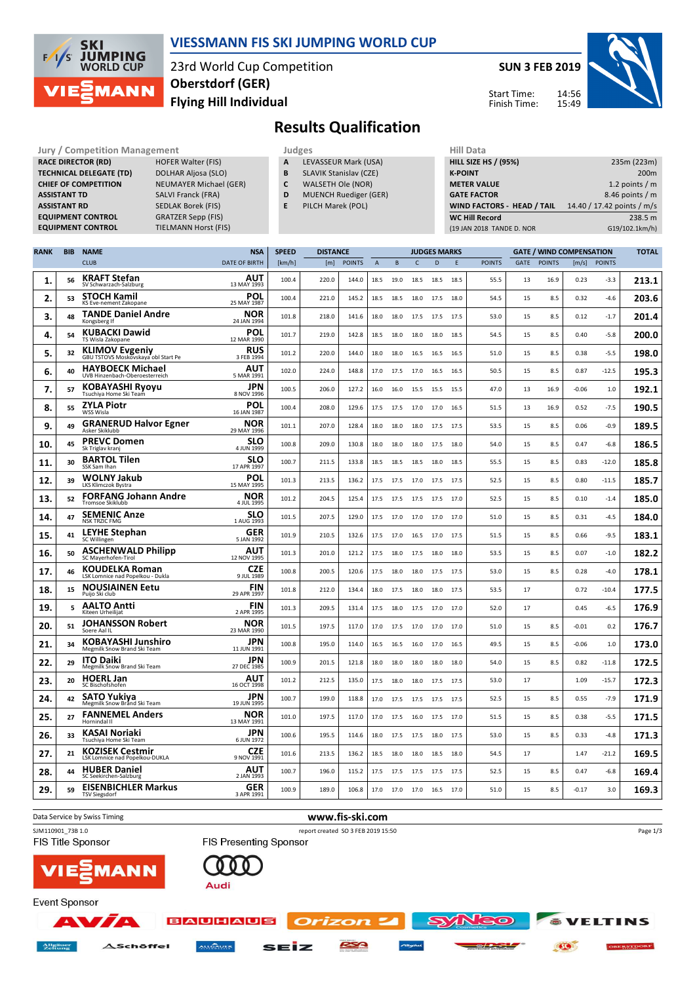

#### **VIESSMANN FIS SKI JUMPING WORLD CUP**

23rd World Cup Competition **Flying Hill Individual Oberstdorf (GER)**

**SUN 3 FEB 2019**

Start Time: Finish Time:



**Results Qualification**

**Jury / Competition Management Judges Judges Hill Data**<br> **RACE DIRECTOR (RD)** HILL SIZE **HILL SIZE HILL SIZE HILL SIZE HILL SIZE HILL SIZE HILL SIZE HILL SIZE HILL SIZE H RACE DIRECTOR (RD) TECHNICAL DELEGATE (TD)** DOLHAR Aljosa (SLO) **CHIEF OF COMPETITION** NEUMAYER Michael (GER) **ASSISTANT TD** SALVI Franck (FRA) **ASSISTANT RD** SEDLAK Borek (FIS)<br>**EQUIPMENT CONTROL** GRATZER Sepp (FIS) **EQUIPMENT CONTROL**<br>**EQUIPMENT CONTROL TIELMANN Horst (FIS)** 

- **A** LEVASSEUR Mark (USA)
- **B** SLAVIK Stanislav (CZE)
- **C** WALSETH Ole (NOR)
- **D** MUENCH Ruediger (GER)
- **E** PILCH Marek (POL)

| 235m (223m)                |
|----------------------------|
| 200 <sub>m</sub>           |
| 1.2 points $/m$            |
| 8.46 points / m            |
| 14.40 / 17.42 points / m/s |
| 238.5 m                    |
| G19/102.1km/h)             |
|                            |

| <b>RANK</b> | <b>BIB</b> | <b>NAME</b>                                                  | <b>NSA</b>                | <b>DISTANCE</b><br><b>SPEED</b><br><b>JUDGES MARKS</b> |       |               |                | <b>GATE / WIND COMPENSATION</b> |              |      | <b>TOTAL</b> |               |      |               |         |               |       |
|-------------|------------|--------------------------------------------------------------|---------------------------|--------------------------------------------------------|-------|---------------|----------------|---------------------------------|--------------|------|--------------|---------------|------|---------------|---------|---------------|-------|
|             |            | <b>CLUB</b>                                                  | <b>DATE OF BIRTH</b>      | [km/h]                                                 | [m]   | <b>POINTS</b> | $\overline{A}$ | $\sf{B}$                        | $\mathsf{C}$ | D    | E            | <b>POINTS</b> | GATE | <b>POINTS</b> | [m/s]   | <b>POINTS</b> |       |
| 1.          | 56         | <b>KRAFT Stefan</b><br>SV Schwarzach-Salzburg                | AUT<br>13 MAY 1993        | 100.4                                                  | 220.0 | 144.0         | 18.5           | 19.0                            | 18.5         | 18.5 | 18.5         | 55.5          | 13   | 16.9          | 0.23    | $-3.3$        | 213.1 |
| 2.          | 53         | <b>STOCH Kamil</b><br>KS Eve-nement Zakopane                 | POL<br>25 MAY 1987        | 100.4                                                  | 221.0 | 145.2         | 18.5           | 18.5                            | 18.0         | 17.5 | 18.0         | 54.5          | 15   | 8.5           | 0.32    | $-4.6$        | 203.6 |
| з.          | 48         | <b>TANDE Daniel Andre</b><br>Kongsberg If                    | NOR<br>24 JAN 1994        | 101.8                                                  | 218.0 | 141.6         | 18.0           | 18.0                            | 17.5         | 17.5 | 17.5         | 53.0          | 15   | 8.5           | 0.12    | $-1.7$        | 201.4 |
| 4.          | 54         | <b>KUBACKI Dawid</b><br>TS Wisla Zakopane                    | POL<br>12 MAR 1990        | 101.7                                                  | 219.0 | 142.8         | 18.5           | 18.0                            | 18.0         | 18.0 | 18.5         | 54.5          | 15   | 8.5           | 0.40    | $-5.8$        | 200.0 |
| 5.          | 32         | <b>KLIMOV Evgeniy</b><br>GBU TSTOVS Moskovskaya obl Start Pe | <b>RUS</b><br>3 FEB 1994  | 101.2                                                  | 220.0 | 144.0         | 18.0           | 18.0                            | 16.5         | 16.5 | 16.5         | 51.0          | 15   | 8.5           | 0.38    | $-5.5$        | 198.0 |
| 6.          | 40         | <b>HAYBOECK Michael</b><br>UVB Hinzenbach-Oberoesterreich    | AUT<br>5 MAR 1991         | 102.0                                                  | 224.0 | 148.8         | 17.0           | 17.5                            | 17.0         | 16.5 | 16.5         | 50.5          | 15   | 8.5           | 0.87    | $-12.5$       | 195.3 |
| 7.          | 57         | <b>KOBAYASHI Rvovu</b><br>Tsuchiya Home Ski Team             | <b>JPN</b><br>8 NOV 1996  | 100.5                                                  | 206.0 | 127.2         | 16.0           | 16.0                            | 15.5         | 15.5 | 15.5         | 47.0          | 13   | 16.9          | $-0.06$ | 1.0           | 192.1 |
| 8.          | 55         | <b>ZYLA Piotr</b><br>WSS Wisla                               | POL<br>16 JAN 1987        | 100.4                                                  | 208.0 | 129.6         | 17.5           | 17.5                            | 17.0         | 17.0 | 16.5         | 51.5          | 13   | 16.9          | 0.52    | $-7.5$        | 190.5 |
| 9.          | 49         | <b>GRANERUD Halvor Egner</b><br>Asker Skiklubb               | <b>NOR</b><br>29 MAY 1996 | 101.1                                                  | 207.0 | 128.4         | 18.0           | 18.0                            | 18.0         | 17.5 | 17.5         | 53.5          | 15   | 8.5           | 0.06    | $-0.9$        | 189.5 |
| 10.         | 45         | <b>PREVC Domen</b><br>Sk Triglav kranj                       | SLO<br>4 JUN 1999         | 100.8                                                  | 209.0 | 130.8         | 18.0           | 18.0                            | 18.0         | 17.5 | 18.0         | 54.0          | 15   | 8.5           | 0.47    | $-6.8$        | 186.5 |
| 11.         | 30         | <b>BARTOL Tilen</b><br>SSK Sam Ihan                          | <b>SLO</b><br>17 APR 1997 | 100.7                                                  | 211.5 | 133.8         | 18.5           | 18.5                            | 18.5         | 18.0 | 18.5         | 55.5          | 15   | 8.5           | 0.83    | $-12.0$       | 185.8 |
| 12.         | 39         | <b>WOLNY Jakub</b><br>LKS Klimczok Bystra                    | POL<br>15 MAY 1995        | 101.3                                                  | 213.5 | 136.2         | 17.5           | 17.5                            | 17.0         | 17.5 | 17.5         | 52.5          | 15   | 8.5           | 0.80    | $-11.5$       | 185.7 |
| 13.         | 52         | <b>FORFANG Johann Andre</b><br>Tromsoe Skiklubb              | <b>NOR</b><br>4 JUL 1995  | 101.2                                                  | 204.5 | 125.4         | 17.5           | 17.5                            | 17.5         | 17.5 | 17.0         | 52.5          | 15   | 8.5           | 0.10    | $-1.4$        | 185.0 |
| 14.         | 47         | <b>SEMENIC Anze</b><br><b>NSK TRZIC FMG</b>                  | <b>SLO</b><br>1 AUG 1993  | 101.5                                                  | 207.5 | 129.0         | 17.5           | 17.0                            | 17.0         | 17.0 | 17.0         | 51.0          | 15   | 8.5           | 0.31    | $-4.5$        | 184.0 |
| 15.         | 41         | <b>LEYHE Stephan</b><br>SC Willingen                         | <b>GER</b><br>5 JAN 1992  | 101.9                                                  | 210.5 | 132.6         | 17.5           | 17.0                            | 16.5         | 17.0 | 17.5         | 51.5          | 15   | 8.5           | 0.66    | $-9.5$        | 183.1 |
| 16.         | 50         | <b>ASCHENWALD Philipp</b><br>SC Mayerhofen-Tirol             | AUT<br>12 NOV 1995        | 101.3                                                  | 201.0 | 121.2         | 17.5           | 18.0                            | 17.5         | 18.0 | 18.0         | 53.5          | 15   | 8.5           | 0.07    | $-1.0$        | 182.2 |
| 17.         | 46         | <b>KOUDELKA Roman</b><br>LSK Lomnice nad Popelkou - Dukla    | CZE<br>9 JUL 1989         | 100.8                                                  | 200.5 | 120.6         | 17.5           | 18.0                            | 18.0         | 17.5 | 17.5         | 53.0          | 15   | 8.5           | 0.28    | $-4.0$        | 178.1 |
| 18.         | 15         | <b>NOUSIAINEN Eetu</b><br>Puijo Ski club                     | <b>FIN</b><br>29 APR 1997 | 101.8                                                  | 212.0 | 134.4         | 18.0           | 17.5                            | 18.0         | 18.0 | 17.5         | 53.5          | 17   |               | 0.72    | $-10.4$       | 177.5 |
| 19.         | 5          | AALTO Antti<br>Kiteen Urheilijat                             | <b>FIN</b><br>2 APR 1995  | 101.3                                                  | 209.5 | 131.4         | 17.5           | 18.0                            | 17.5         | 17.0 | 17.0         | 52.0          | 17   |               | 0.45    | $-6.5$        | 176.9 |
| 20.         | 51         | <b>JOHANSSON Robert</b><br>Soere Aal IL                      | <b>NOR</b><br>23 MAR 1990 | 101.5                                                  | 197.5 | 117.0         | 17.0           | 17.5                            | 17.0         | 17.0 | 17.0         | 51.0          | 15   | 8.5           | $-0.01$ | 0.2           | 176.7 |
| 21.         | 34         | <b>KOBAYASHI Junshiro</b><br>Megmilk Snow Brand Ski Team     | JPN<br>11 JUN 1991        | 100.8                                                  | 195.0 | 114.0         | 16.5           | 16.5                            | 16.0         | 17.0 | 16.5         | 49.5          | 15   | 8.5           | $-0.06$ | 1.0           | 173.0 |
| 22.         | 29         | <b>ITO Daiki</b><br>Megmilk Snow Brand Ski Team              | JPN<br>27 DEC 1985        | 100.9                                                  | 201.5 | 121.8         | 18.0           | 18.0                            | 18.0         | 18.0 | 18.0         | 54.0          | 15   | 8.5           | 0.82    | $-11.8$       | 172.5 |
| 23.         | 20         | <b>HOERL Jan</b><br>SC Bischofshofen                         | AUT<br>16 OCT 1998        | 101.2                                                  | 212.5 | 135.0         | 17.5           | 18.0                            | 18.0         | 17.5 | 17.5         | 53.0          | 17   |               | 1.09    | $-15.7$       | 172.3 |
| 24.         | 42         | SATO Yukiya<br>Megmilk Snow Brand Ski Team                   | JPN<br>19 JUN 1995        | 100.7                                                  | 199.0 | 118.8         | 17.0           | 17.5                            | 17.5         | 17.5 | 17.5         | 52.5          | 15   | 8.5           | 0.55    | $-7.9$        | 171.9 |
| 25.         | 27         | <b>FANNEMEL Anders</b><br>Hornindal II                       | <b>NOR</b><br>13 MAY 1991 | 101.0                                                  | 197.5 | 117.0         | 17.0           | 17.5                            | 16.0         | 17.5 | 17.0         | 51.5          | 15   | 8.5           | 0.38    | $-5.5$        | 171.5 |
| 26.         | 33         | KASAI Noriaki<br>Tsuchiya Home Ski Team                      | JPN<br>6 JUN 1972         | 100.6                                                  | 195.5 | 114.6         | 18.0           | 17.5                            | 17.5         | 18.0 | 17.5         | 53.0          | 15   | 8.5           | 0.33    | $-4.8$        | 171.3 |
| 27.         | 21         | <b>KOZISEK Cestmir</b><br>LSK Lomnice nad Popelkou-DUKLA     | <b>CZE</b><br>9 NOV 1991  | 101.6                                                  | 213.5 | 136.2         | 18.5           | 18.0                            | 18.0         | 18.5 | 18.0         | 54.5          | 17   |               | 1.47    | $-21.2$       | 169.5 |
| 28.         | 44         | <b>HUBER Daniel</b><br>SC Seekirchen-Salzburg                | <b>AUT</b><br>2 JAN 1993  | 100.7                                                  | 196.0 | 115.2         | 17.5           | 17.5                            | 17.5         | 17.5 | 17.5         | 52.5          | 15   | 8.5           | 0.47    | $-6.8$        | 169.4 |
| 29.         | 59         | <b>EISENBICHLER Markus</b><br><b>TSV Siegsdorf</b>           | GER<br>3 APR 1991         | 100.9                                                  | 189.0 | 106.8         | 17.0           | 17.0                            | 17.0         | 16.5 | 17.0         | 51.0          | 15   | 8.5           | $-0.17$ | 3.0           | 169.3 |

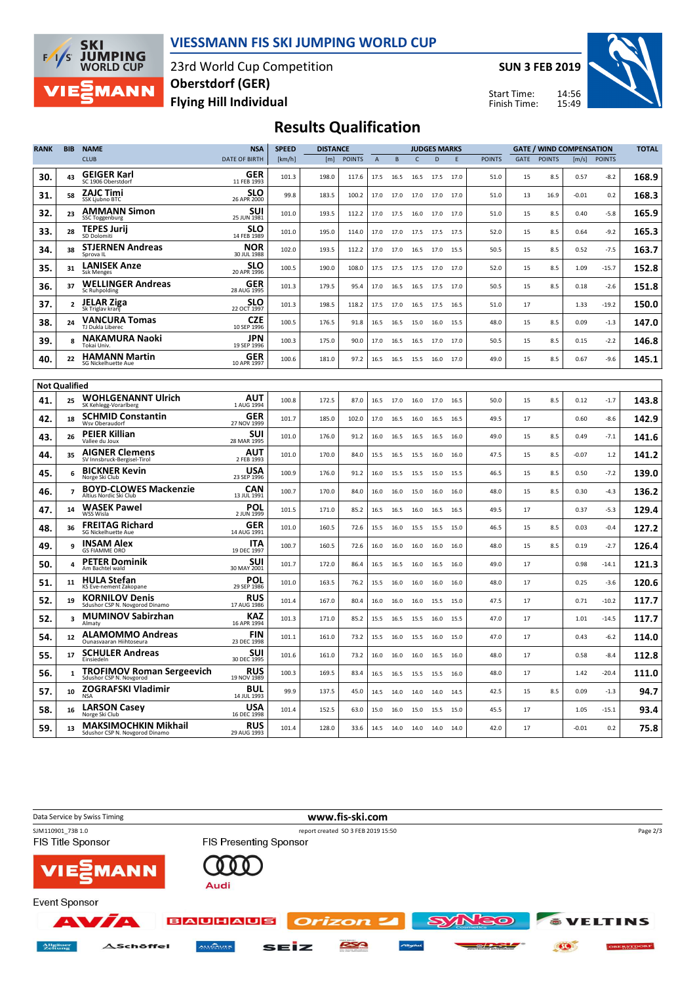

#### **VIESSMANN FIS SKI JUMPING WORLD CUP**

23rd World Cup Competition **Flying Hill Individual Oberstdorf (GER)**

**SUN 3 FEB 2019**

Start Time: Finish Time:



# **Results Qualification**

| <b>RANK</b> | <b>BIB</b>           | <b>SPEED</b><br><b>DISTANCE</b><br><b>NSA</b><br><b>JUDGES MARKS</b><br><b>NAME</b> |                           |        |       |               |             | <b>GATE / WIND COMPENSATION</b> |              |      |      |               | <b>TOTAL</b> |               |         |               |       |
|-------------|----------------------|-------------------------------------------------------------------------------------|---------------------------|--------|-------|---------------|-------------|---------------------------------|--------------|------|------|---------------|--------------|---------------|---------|---------------|-------|
|             |                      | <b>CLUB</b>                                                                         | <b>DATE OF BIRTH</b>      | [km/h] | [m]   | <b>POINTS</b> | $\mathsf A$ | B                               | $\mathsf{C}$ | D    | E    | <b>POINTS</b> | GATE         | <b>POINTS</b> | [m/s]   | <b>POINTS</b> |       |
| 30.         | 43                   | <b>GEIGER Karl</b><br>SC 1906 Oberstdorf                                            | GER<br>11 FEB 1993        | 101.3  | 198.0 | 117.6         | 17.5        | 16.5                            | 16.5         | 17.5 | 17.0 | 51.0          | 15           | 8.5           | 0.57    | $-8.2$        | 168.9 |
| 31.         | 58                   | ZAJC Timi<br>SSK Ljubno BTC                                                         | <b>SLO</b><br>26 APR 2000 | 99.8   | 183.5 | 100.2         | 17.0        | 17.0                            | 17.0         | 17.0 | 17.0 | 51.0          | 13           | 16.9          | $-0.01$ | 0.2           | 168.3 |
| 32.         | 23                   | <b>AMMANN Simon</b><br>SSC Toggenburg                                               | SUI<br>25 JUN 1981        | 101.0  | 193.5 | 112.2         | 17.0        | 17.5                            | 16.0         | 17.0 | 17.0 | 51.0          | 15           | 8.5           | 0.40    | $-5.8$        | 165.9 |
| 33.         | 28                   | <b>TEPES Jurii</b><br>SD Dolomiti                                                   | <b>SLO</b><br>14 FEB 1989 | 101.0  | 195.0 | 114.0         | 17.0        | 17.0                            | 17.5         | 17.5 | 17.5 | 52.0          | 15           | 8.5           | 0.64    | $-9.2$        | 165.3 |
| 34.         | 38                   | <b>STJERNEN Andreas</b><br>Sprova IL                                                | <b>NOR</b><br>30 JUL 1988 | 102.0  | 193.5 | 112.2         | 17.0        | 17.0                            | 16.5         | 17.0 | 15.5 | 50.5          | 15           | 8.5           | 0.52    | $-7.5$        | 163.7 |
| 35.         | 31                   | <b>LANISEK Anze</b><br><b>Ssk Menges</b>                                            | <b>SLO</b><br>20 APR 1996 | 100.5  | 190.0 | 108.0         | 17.5        | 17.5                            | 17.5         | 17.0 | 17.0 | 52.0          | 15           | 8.5           | 1.09    | $-15.7$       | 152.8 |
| 36.         | 37                   | WELLINGER Andreas<br>Sc Ruhpolding                                                  | GER<br>28 AUG 1995        | 101.3  | 179.5 | 95.4          | 17.0        | 16.5                            | 16.5         | 17.5 | 17.0 | 50.5          | 15           | 8.5           | 0.18    | $-2.6$        | 151.8 |
| 37.         | $\overline{2}$       | <b>JELAR Ziga</b><br>Sk Triglav kran                                                | <b>SLO</b><br>22 OCT 1997 | 101.3  | 198.5 | 118.2         | 17.5        | 17.0                            | 16.5         | 17.5 | 16.5 | 51.0          | 17           |               | 1.33    | $-19.2$       | 150.0 |
| 38.         | 24                   | <b>VANCURA Tomas</b><br>TJ Dukla Liberec                                            | <b>CZE</b><br>10 SEP 1996 | 100.5  | 176.5 | 91.8          | 16.5        | 16.5                            | 15.0         | 16.0 | 15.5 | 48.0          | 15           | 8.5           | 0.09    | $-1.3$        | 147.0 |
| 39.         | 8                    | <b>NAKAMURA Naoki</b><br>Tokai Univ.                                                | JPN<br>19 SEP 1996        | 100.3  | 175.0 | 90.0          | 17.0        | 16.5                            | 16.5         | 17.0 | 17.0 | 50.5          | 15           | 8.5           | 0.15    | $-2.2$        | 146.8 |
| 40.         | 22                   | <b>HAMANN Martin</b><br>SG Nickelhuette Aue                                         | <b>GER</b><br>10 APR 1997 | 100.6  | 181.0 | 97.2          | 16.5        | 16.5                            | 15.5         | 16.0 | 17.0 | 49.0          | 15           | 8.5           | 0.67    | $-9.6$        | 145.1 |
|             | <b>Not Qualified</b> |                                                                                     |                           |        |       |               |             |                                 |              |      |      |               |              |               |         |               |       |
| 41.         | 25                   | <b>WOHLGENANNT Ulrich</b><br>SK Kehlegg-Vorarlberg                                  | AUT<br>1 AUG 1994         | 100.8  | 172.5 | 87.0          | 16.5        | 17.0                            | 16.0         | 17.0 | 16.5 | 50.0          | 15           | 8.5           | 0.12    | $-1.7$        | 143.8 |
| 42.         | 18                   | <b>SCHMID Constantin</b><br>Wsv Oberaudorf                                          | GER<br>27 NOV 1999        | 101.7  | 185.0 | 102.0         | 17.0        | 16.5                            | 16.0         | 16.5 | 16.5 | 49.5          | 17           |               | 0.60    | $-8.6$        | 142.9 |
| 43.         | 26                   | <b>PEIER Killian</b><br>Vallee du Joux                                              | SUI<br>28 MAR 1995        | 101.0  | 176.0 | 91.2          | 16.0        | 16.5                            | 16.5         | 16.5 | 16.0 | 49.0          | 15           | 8.5           | 0.49    | $-7.1$        | 141.6 |
| 44.         | 35                   | <b>AIGNER Clemens</b><br>SV Innsbruck-Bergisel-Tirol                                | AUT<br>2 FEB 1993         | 101.0  | 170.0 | 84.0          | 15.5        | 16.5                            | 15.5         | 16.0 | 16.0 | 47.5          | 15           | 8.5           | $-0.07$ | 1.2           | 141.2 |
| 45.         | 6                    | <b>BICKNER Kevin</b><br>Norge Ski Club                                              | USA<br>23 SEP 1996        | 100.9  | 176.0 | 91.2          | 16.0        | 15.5                            | 15.5         | 15.0 | 15.5 | 46.5          | 15           | 8.5           | 0.50    | $-7.2$        | 139.0 |
| 46.         | $\overline{7}$       | <b>BOYD-CLOWES Mackenzie</b><br>Altius Nordic Ski Club                              | CAN<br>13 JUL 1991        | 100.7  | 170.0 | 84.0          | 16.0        | 16.0                            | 15.0         | 16.0 | 16.0 | 48.0          | 15           | 8.5           | 0.30    | $-4.3$        | 136.2 |
| 47.         | 14                   | <b>WASEK Pawel</b><br>WSS Wisla                                                     | POL<br>2 JUN 1999         | 101.5  | 171.0 | 85.2          | 16.5        | 16.5                            | 16.0         | 16.5 | 16.5 | 49.5          | 17           |               | 0.37    | $-5.3$        | 129.4 |
| 48.         | 36                   | <b>FREITAG Richard</b><br>SG Nickelhuette Aue                                       | GER<br>14 AUG 1991        | 101.0  | 160.5 | 72.6          | 15.5        | 16.0                            | 15.5         | 15.5 | 15.0 | 46.5          | 15           | 8.5           | 0.03    | $-0.4$        | 127.2 |
| 49.         | 9                    | <b>INSAM Alex</b><br><b>GS FIAMME ORO</b>                                           | ITA<br>19 DEC 1997        | 100.7  | 160.5 | 72.6          | 16.0        | 16.0                            | 16.0         | 16.0 | 16.0 | 48.0          | 15           | 8.5           | 0.19    | $-2.7$        | 126.4 |
| 50.         | 4                    | <b>PETER Dominik</b><br>Am Bachtel wald                                             | SUI<br>30 MAY 2001        | 101.7  | 172.0 | 86.4          | 16.5        | 16.5                            | 16.0         | 16.5 | 16.0 | 49.0          | 17           |               | 0.98    | $-14.1$       | 121.3 |
| 51.         | 11                   | <b>HULA Stefan</b><br>KS Eve-nement Zakopane                                        | POL<br>29 SEP 1986        | 101.0  | 163.5 | 76.2          | 15.5        | 16.0                            | 16.0         | 16.0 | 16.0 | 48.0          | 17           |               | 0.25    | $-3.6$        | 120.6 |
| 52.         | 19                   | <b>KORNILOV Denis</b><br>Sdushor CSP N. Novgorod Dinamo                             | <b>RUS</b><br>17 AUG 1986 | 101.4  | 167.0 | 80.4          | 16.0        | 16.0                            | 16.0         | 15.5 | 15.0 | 47.5          | 17           |               | 0.71    | $-10.2$       | 117.7 |
| 52.         | 3                    | <b>MUMINOV Sabirzhan</b><br>Almaty                                                  | KAZ<br>16 APR 1994        | 101.3  | 171.0 | 85.2          | 15.5        | 16.5                            | 15.5         | 16.0 | 15.5 | 47.0          | 17           |               | 1.01    | $-14.5$       | 117.7 |
| 54.         | 12                   | <b>ALAMOMMO Andreas</b><br>Ounasyaaran Hiihtoseura                                  | <b>FIN</b><br>23 DEC 1998 | 101.1  | 161.0 | 73.2          | 15.5        | 16.0                            | 15.5         | 16.0 | 15.0 | 47.0          | 17           |               | 0.43    | $-6.2$        | 114.0 |
| 55.         | 17                   | <b>SCHULER Andreas</b><br>Einsiedeln                                                | <b>SUI</b><br>30 DEC 1995 | 101.6  | 161.0 | 73.2          | 16.0        | 16.0                            | 16.0         | 16.5 | 16.0 | 48.0          | 17           |               | 0.58    | $-8.4$        | 112.8 |
| 56.         | 1                    | <b>TROFIMOV Roman Sergeevich</b><br>Sdushor CSP N. Novgorod                         | <b>RUS</b><br>19 NOV 1989 | 100.3  | 169.5 | 83.4          | 16.5        | 16.5                            | 15.5         | 15.5 | 16.0 | 48.0          | 17           |               | 1.42    | $-20.4$       | 111.0 |
| 57.         | 10                   | ZOGRAFSKI Vladimir                                                                  | BUL<br>14 JUL 1993        | 99.9   | 137.5 | 45.0          | 14.5        | 14.0                            | 14.0         | 14.0 | 14.5 | 42.5          | 15           | 8.5           | 0.09    | $-1.3$        | 94.7  |
| 58.         | 16                   | <b>LARSON Casey</b><br>Norge Ski Club                                               | USA<br>16 DEC 1998        | 101.4  | 152.5 | 63.0          | 15.0        | 16.0                            | 15.0         | 15.5 | 15.0 | 45.5          | 17           |               | 1.05    | $-15.1$       | 93.4  |
| 59.         | 13                   | <b>MAKSIMOCHKIN Mikhail</b><br>Sdushor CSP N. Novgorod Dinamo                       | <b>RUS</b><br>29 AUG 1993 | 101.4  | 128.0 | 33.6          | 14.5        | 14.0                            | 14.0         | 14.0 | 14.0 | 42.0          | 17           |               | $-0.01$ | 0.2           | 75.8  |